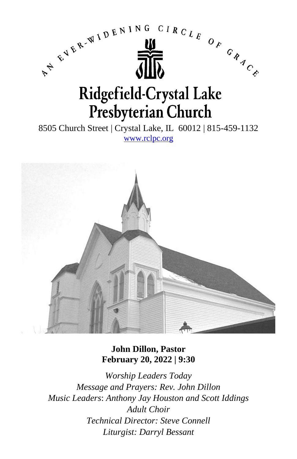

### **John Dillon, Pastor February 20, 2022 | 9:30**

*Worship Leaders Today Message and Prayers: Rev. John Dillon Music Leaders*: *Anthony Jay Houston and Scott Iddings Adult Choir Technical Director: Steve Connell Liturgist: Darryl Bessant*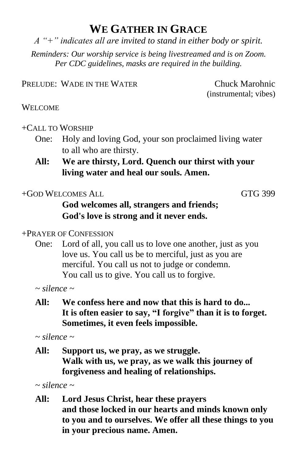# **WE GATHER IN GRACE**

*A "+" indicates all are invited to stand in either body or spirit.*

*Reminders: Our worship service is being livestreamed and is on Zoom. Per CDC guidelines, masks are required in the building.*

PRELUDE: WADE IN THE WATER Chuck Marohnic

(instrumental; vibes)

### WELCOME

### +CALL TO WORSHIP

- One: Holy and loving God, your son proclaimed living water to all who are thirsty.
- **All: We are thirsty, Lord. Quench our thirst with your living water and heal our souls. Amen.**

+GOD WELCOMES ALL GTG 399

## **God welcomes all, strangers and friends; God's love is strong and it never ends.**

### +PRAYER OF CONFESSION

One: Lord of all, you call us to love one another, just as you love us. You call us be to merciful, just as you are merciful. You call us not to judge or condemn. You call us to give. You call us to forgive.

*~ silence ~*

**All: We confess here and now that this is hard to do... It is often easier to say, "I forgive" than it is to forget. Sometimes, it even feels impossible.** 

*~ silence ~*

**All: Support us, we pray, as we struggle. Walk with us, we pray, as we walk this journey of forgiveness and healing of relationships.** 

*~ silence ~*

**All: Lord Jesus Christ, hear these prayers and those locked in our hearts and minds known only to you and to ourselves. We offer all these things to you in your precious name. Amen.**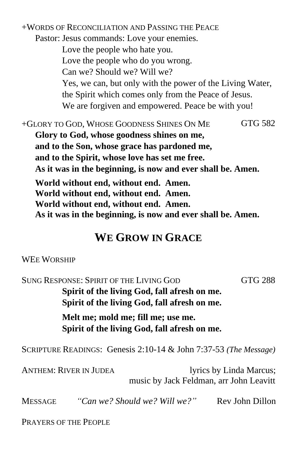+WORDS OF RECONCILIATION AND PASSING THE PEACE Pastor: Jesus commands: Love your enemies. Love the people who hate you. Love the people who do you wrong. Can we? Should we? Will we? Yes, we can, but only with the power of the Living Water, the Spirit which comes only from the Peace of Jesus. We are forgiven and empowered. Peace be with you! +GLORY TO GOD, WHOSE GOODNESS SHINES ON ME GTG 582 **Glory to God, whose goodness shines on me, and to the Son, whose grace has pardoned me, and to the Spirit, whose love has set me free. As it was in the beginning, is now and ever shall be. Amen.**

**World without end, without end. Amen. World without end, without end. Amen. World without end, without end. Amen. As it was in the beginning, is now and ever shall be. Amen.**

# **WE GROW IN GRACE**

#### WEE WORSHIP

SUNG RESPONSE: SPIRIT OF THE LIVING GOD GTG 288 **Spirit of the living God, fall afresh on me. Spirit of the living God, fall afresh on me. Melt me; mold me; fill me; use me. Spirit of the living God, fall afresh on me.**

SCRIPTURE READINGS: Genesis 2:10-14 & John 7:37-53 *(The Message)*

ANTHEM: RIVER IN JUDEA lyrics by Linda Marcus; music by Jack Feldman, arr John Leavitt

MESSAGE *"Can we? Should we? Will we?"* Rev John Dillon

PRAYERS OF THE PEOPLE